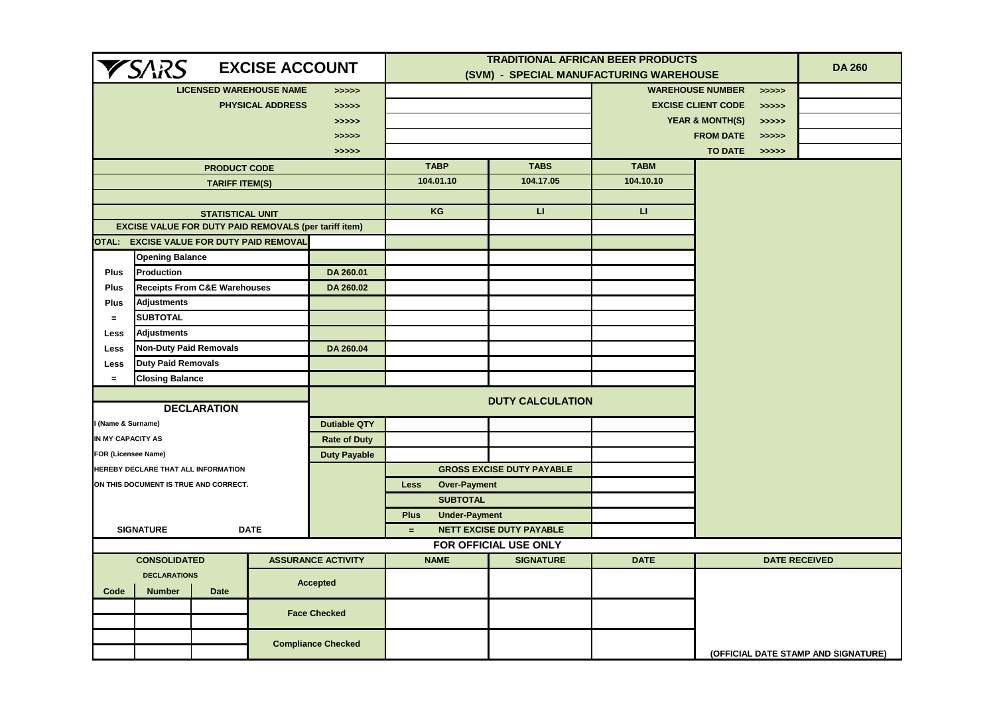| <b>YSARS</b><br><b>EXCISE ACCOUNT</b>                              |                                                 |                         |                                                              |                     | <b>TRADITIONAL AFRICAN BEER PRODUCTS</b> | <b>DA 260</b>                                        |                                     |                      |                                     |  |
|--------------------------------------------------------------------|-------------------------------------------------|-------------------------|--------------------------------------------------------------|---------------------|------------------------------------------|------------------------------------------------------|-------------------------------------|----------------------|-------------------------------------|--|
|                                                                    |                                                 |                         |                                                              |                     | (SVM) - SPECIAL MANUFACTURING WAREHOUSE  |                                                      |                                     |                      |                                     |  |
| <b>LICENSED WAREHOUSE NAME</b><br>>>>>><br><b>PHYSICAL ADDRESS</b> |                                                 |                         |                                                              |                     |                                          | <b>WAREHOUSE NUMBER</b><br><b>EXCISE CLIENT CODE</b> |                                     |                      | >>>>>                               |  |
|                                                                    |                                                 |                         |                                                              | >>>>>               |                                          |                                                      |                                     |                      | >>>>>                               |  |
|                                                                    |                                                 |                         |                                                              | >>>>>               |                                          |                                                      | <b>YEAR &amp; MONTH(S)</b><br>>>>>> |                      |                                     |  |
|                                                                    |                                                 |                         |                                                              | >>>>>               |                                          |                                                      | <b>FROM DATE</b><br>>>>>>           |                      |                                     |  |
|                                                                    |                                                 |                         |                                                              | >>>>>               | <b>TABP</b>                              | <b>TABS</b>                                          | <b>TABM</b>                         | <b>TO DATE</b>       | >>>>>                               |  |
|                                                                    |                                                 | <b>PRODUCT CODE</b>     |                                                              |                     |                                          |                                                      |                                     |                      |                                     |  |
|                                                                    |                                                 | <b>TARIFF ITEM(S)</b>   |                                                              |                     | 104.01.10                                | 104.17.05                                            | 104.10.10                           |                      |                                     |  |
|                                                                    |                                                 | <b>STATISTICAL UNIT</b> |                                                              |                     | KG                                       | $\mathbf{L}$                                         | $\mathbf{L}$                        |                      |                                     |  |
|                                                                    |                                                 |                         | <b>EXCISE VALUE FOR DUTY PAID REMOVALS (per tariff item)</b> |                     |                                          |                                                      |                                     |                      |                                     |  |
|                                                                    |                                                 |                         | OTAL: EXCISE VALUE FOR DUTY PAID REMOVAL                     |                     |                                          |                                                      |                                     |                      |                                     |  |
|                                                                    | <b>Opening Balance</b>                          |                         |                                                              |                     |                                          |                                                      |                                     |                      |                                     |  |
| <b>Plus</b>                                                        | Production                                      |                         |                                                              | DA 260.01           |                                          |                                                      |                                     |                      |                                     |  |
| <b>Plus</b>                                                        | <b>Receipts From C&amp;E Warehouses</b>         |                         |                                                              | DA 260.02           |                                          |                                                      |                                     |                      |                                     |  |
| <b>Plus</b>                                                        | <b>Adjustments</b>                              |                         |                                                              |                     |                                          |                                                      |                                     |                      |                                     |  |
| $=$                                                                | <b>SUBTOTAL</b>                                 |                         |                                                              |                     |                                          |                                                      |                                     |                      |                                     |  |
| <b>Less</b>                                                        | Adjustments                                     |                         |                                                              |                     |                                          |                                                      |                                     |                      |                                     |  |
| <b>Less</b>                                                        | <b>Non-Duty Paid Removals</b>                   |                         |                                                              | DA 260.04           |                                          |                                                      |                                     |                      |                                     |  |
| <b>Less</b>                                                        | <b>Duty Paid Removals</b>                       |                         |                                                              |                     |                                          |                                                      |                                     |                      |                                     |  |
| $=$                                                                | <b>Closing Balance</b>                          |                         |                                                              |                     |                                          |                                                      |                                     |                      |                                     |  |
|                                                                    |                                                 |                         |                                                              |                     |                                          |                                                      |                                     |                      |                                     |  |
|                                                                    |                                                 | <b>DECLARATION</b>      |                                                              |                     |                                          | <b>DUTY CALCULATION</b>                              |                                     |                      |                                     |  |
| (Name & Surname)                                                   |                                                 |                         |                                                              | <b>Dutiable QTY</b> |                                          |                                                      |                                     |                      |                                     |  |
| IN MY CAPACITY AS                                                  |                                                 |                         |                                                              | <b>Rate of Duty</b> |                                          |                                                      |                                     |                      |                                     |  |
| <b>FOR (Licensee Name)</b>                                         |                                                 |                         |                                                              | <b>Duty Payable</b> |                                          |                                                      |                                     |                      |                                     |  |
|                                                                    | HEREBY DECLARE THAT ALL INFORMATION             |                         |                                                              |                     |                                          | <b>GROSS EXCISE DUTY PAYABLE</b>                     |                                     |                      |                                     |  |
|                                                                    | ON THIS DOCUMENT IS TRUE AND CORRECT.           |                         |                                                              |                     | <b>Over-Payment</b><br><b>Less</b>       |                                                      |                                     |                      |                                     |  |
|                                                                    |                                                 |                         |                                                              |                     | <b>SUBTOTAL</b>                          |                                                      |                                     |                      |                                     |  |
|                                                                    |                                                 |                         |                                                              |                     | <b>Under-Payment</b><br><b>Plus</b>      |                                                      |                                     |                      |                                     |  |
|                                                                    | <b>SIGNATURE</b>                                |                         | <b>DATE</b>                                                  |                     | $=$                                      | <b>NETT EXCISE DUTY PAYABLE</b>                      |                                     |                      |                                     |  |
|                                                                    |                                                 |                         |                                                              |                     |                                          | FOR OFFICIAL USE ONLY                                |                                     |                      |                                     |  |
| <b>ASSURANCE ACTIVITY</b><br><b>CONSOLIDATED</b>                   |                                                 |                         | <b>NAME</b>                                                  | <b>SIGNATURE</b>    | <b>DATE</b>                              |                                                      |                                     | <b>DATE RECEIVED</b> |                                     |  |
|                                                                    | <b>DECLARATIONS</b>                             |                         |                                                              |                     |                                          |                                                      |                                     |                      |                                     |  |
| Code                                                               | <b>Accepted</b><br><b>Number</b><br><b>Date</b> |                         |                                                              |                     |                                          |                                                      |                                     |                      |                                     |  |
|                                                                    | <b>Face Checked</b>                             |                         |                                                              |                     |                                          |                                                      |                                     |                      |                                     |  |
|                                                                    |                                                 |                         |                                                              |                     |                                          |                                                      |                                     |                      |                                     |  |
|                                                                    | <b>Compliance Checked</b>                       |                         |                                                              |                     |                                          |                                                      |                                     |                      |                                     |  |
|                                                                    |                                                 |                         |                                                              |                     |                                          |                                                      |                                     |                      | (OFFICIAL DATE STAMP AND SIGNATURE) |  |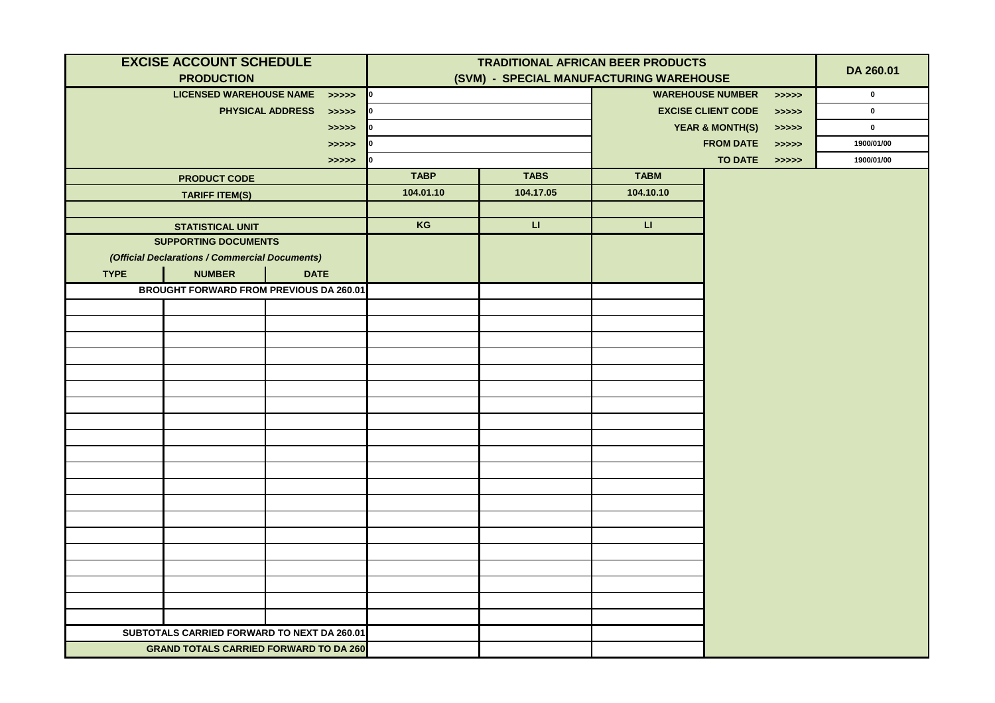|             | <b>EXCISE ACCOUNT SCHEDULE</b>                 |                                         | <b>TRADITIONAL AFRICAN BEER PRODUCTS</b> |                        |                                         |                |             |             |
|-------------|------------------------------------------------|-----------------------------------------|------------------------------------------|------------------------|-----------------------------------------|----------------|-------------|-------------|
|             | <b>PRODUCTION</b>                              |                                         | (SVM) - SPECIAL MANUFACTURING WAREHOUSE  |                        |                                         |                |             | DA 260.01   |
|             | <b>LICENSED WAREHOUSE NAME</b>                 | $\left\langle \text{DOS} \right\rangle$ | 0                                        |                        | <b>WAREHOUSE NUMBER</b><br>>>>>>        |                |             | $\mathbf 0$ |
|             |                                                | <b>PHYSICAL ADDRESS</b><br>> >> > > >   | 0                                        |                        | <b>EXCISE CLIENT CODE</b><br>> >> > > > |                | $\mathbf 0$ |             |
|             |                                                | > >> > >                                | Ю.                                       |                        | <b>YEAR &amp; MONTH(S)</b><br>> >> > >  |                |             | $\mathbf 0$ |
|             |                                                | > >> > >                                | 10                                       |                        | <b>FROM DATE</b><br>>>>>>               |                |             | 1900/01/00  |
|             |                                                | > >> > > >                              | 10                                       |                        |                                         | <b>TO DATE</b> | > >> > >    | 1900/01/00  |
|             | <b>PRODUCT CODE</b>                            |                                         | <b>TABP</b>                              | <b>TABS</b>            | <b>TABM</b>                             |                |             |             |
|             | <b>TARIFF ITEM(S)</b>                          |                                         | 104.01.10                                | 104.17.05              | 104.10.10                               |                |             |             |
|             |                                                |                                         |                                          |                        |                                         |                |             |             |
|             | <b>STATISTICAL UNIT</b>                        |                                         | KG                                       | $\mathsf{L}\mathsf{L}$ | $\mathsf{L}\mathsf{L}$                  |                |             |             |
|             | <b>SUPPORTING DOCUMENTS</b>                    |                                         |                                          |                        |                                         |                |             |             |
|             | (Official Declarations / Commercial Documents) |                                         |                                          |                        |                                         |                |             |             |
| <b>TYPE</b> | <b>NUMBER</b>                                  | <b>DATE</b>                             |                                          |                        |                                         |                |             |             |
|             | <b>BROUGHT FORWARD FROM PREVIOUS DA 260.01</b> |                                         |                                          |                        |                                         |                |             |             |
|             |                                                |                                         |                                          |                        |                                         |                |             |             |
|             |                                                |                                         |                                          |                        |                                         |                |             |             |
|             |                                                |                                         |                                          |                        |                                         |                |             |             |
|             |                                                |                                         |                                          |                        |                                         |                |             |             |
|             |                                                |                                         |                                          |                        |                                         |                |             |             |
|             |                                                |                                         |                                          |                        |                                         |                |             |             |
|             |                                                |                                         |                                          |                        |                                         |                |             |             |
|             |                                                |                                         |                                          |                        |                                         |                |             |             |
|             |                                                |                                         |                                          |                        |                                         |                |             |             |
|             |                                                |                                         |                                          |                        |                                         |                |             |             |
|             |                                                |                                         |                                          |                        |                                         |                |             |             |
|             |                                                |                                         |                                          |                        |                                         |                |             |             |
|             |                                                |                                         |                                          |                        |                                         |                |             |             |
|             |                                                |                                         |                                          |                        |                                         |                |             |             |
|             |                                                |                                         |                                          |                        |                                         |                |             |             |
|             |                                                |                                         |                                          |                        |                                         |                |             |             |
|             |                                                |                                         |                                          |                        |                                         |                |             |             |
|             |                                                |                                         |                                          |                        |                                         |                |             |             |
|             |                                                |                                         |                                          |                        |                                         |                |             |             |
|             |                                                |                                         |                                          |                        |                                         |                |             |             |
|             | SUBTOTALS CARRIED FORWARD TO NEXT DA 260.01    |                                         |                                          |                        |                                         |                |             |             |
|             | <b>GRAND TOTALS CARRIED FORWARD TO DA 260</b>  |                                         |                                          |                        |                                         |                |             |             |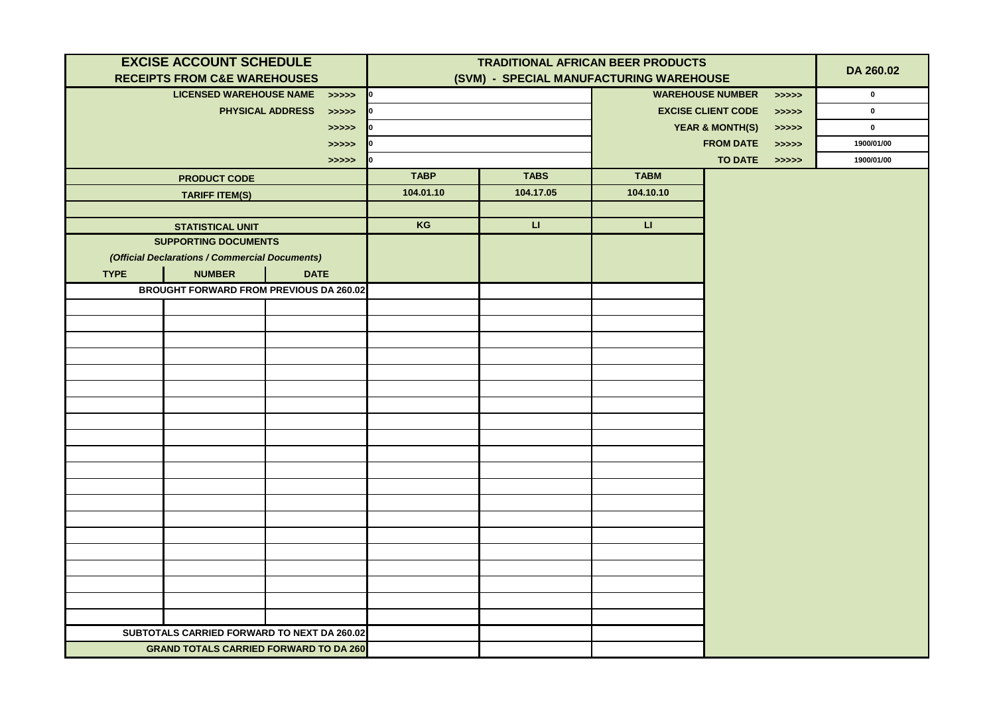|             | <b>EXCISE ACCOUNT SCHEDULE</b>                 |                                       | <b>TRADITIONAL AFRICAN BEER PRODUCTS</b> |              |                                         |                |             |             |
|-------------|------------------------------------------------|---------------------------------------|------------------------------------------|--------------|-----------------------------------------|----------------|-------------|-------------|
|             | <b>RECEIPTS FROM C&amp;E WAREHOUSES</b>        |                                       | (SVM) - SPECIAL MANUFACTURING WAREHOUSE  |              |                                         |                |             | DA 260.02   |
|             | <b>LICENSED WAREHOUSE NAME</b>                 | > >> >> >                             | $\mathbf{I}^{\mathbf{0}}$                |              | <b>WAREHOUSE NUMBER</b><br>>>>>>        |                |             | $\mathbf 0$ |
|             |                                                | <b>PHYSICAL ADDRESS</b><br>> >> > > > | $\mathbf{I}^{\mathbf{0}}$                |              | <b>EXCISE CLIENT CODE</b><br>> >> > > > |                | $\mathbf 0$ |             |
|             |                                                | > >> > > >                            | IО                                       |              | <b>YEAR &amp; MONTH(S)</b><br>> >> > >  |                |             | $\mathbf 0$ |
|             |                                                | > >> > >                              | 10                                       |              | <b>FROM DATE</b><br>> >> > > >          |                |             | 1900/01/00  |
|             |                                                | >>>>>                                 | 10                                       |              |                                         | <b>TO DATE</b> | >>>>>       | 1900/01/00  |
|             | <b>PRODUCT CODE</b>                            |                                       | <b>TABP</b>                              | <b>TABS</b>  | <b>TABM</b>                             |                |             |             |
|             | <b>TARIFF ITEM(S)</b>                          |                                       | 104.01.10                                | 104.17.05    | 104.10.10                               |                |             |             |
|             |                                                |                                       |                                          |              |                                         |                |             |             |
|             | <b>STATISTICAL UNIT</b>                        |                                       | KG                                       | $\mathbf{H}$ | $\mathbf{L}$                            |                |             |             |
|             | <b>SUPPORTING DOCUMENTS</b>                    |                                       |                                          |              |                                         |                |             |             |
|             | (Official Declarations / Commercial Documents) |                                       |                                          |              |                                         |                |             |             |
| <b>TYPE</b> | <b>NUMBER</b>                                  | <b>DATE</b>                           |                                          |              |                                         |                |             |             |
|             | <b>BROUGHT FORWARD FROM PREVIOUS DA 260.02</b> |                                       |                                          |              |                                         |                |             |             |
|             |                                                |                                       |                                          |              |                                         |                |             |             |
|             |                                                |                                       |                                          |              |                                         |                |             |             |
|             |                                                |                                       |                                          |              |                                         |                |             |             |
|             |                                                |                                       |                                          |              |                                         |                |             |             |
|             |                                                |                                       |                                          |              |                                         |                |             |             |
|             |                                                |                                       |                                          |              |                                         |                |             |             |
|             |                                                |                                       |                                          |              |                                         |                |             |             |
|             |                                                |                                       |                                          |              |                                         |                |             |             |
|             |                                                |                                       |                                          |              |                                         |                |             |             |
|             |                                                |                                       |                                          |              |                                         |                |             |             |
|             |                                                |                                       |                                          |              |                                         |                |             |             |
|             |                                                |                                       |                                          |              |                                         |                |             |             |
|             |                                                |                                       |                                          |              |                                         |                |             |             |
|             |                                                |                                       |                                          |              |                                         |                |             |             |
|             |                                                |                                       |                                          |              |                                         |                |             |             |
|             |                                                |                                       |                                          |              |                                         |                |             |             |
|             |                                                |                                       |                                          |              |                                         |                |             |             |
|             |                                                |                                       |                                          |              |                                         |                |             |             |
|             |                                                |                                       |                                          |              |                                         |                |             |             |
|             |                                                |                                       |                                          |              |                                         |                |             |             |
|             | SUBTOTALS CARRIED FORWARD TO NEXT DA 260.02    |                                       |                                          |              |                                         |                |             |             |
|             | <b>GRAND TOTALS CARRIED FORWARD TO DA 260</b>  |                                       |                                          |              |                                         |                |             |             |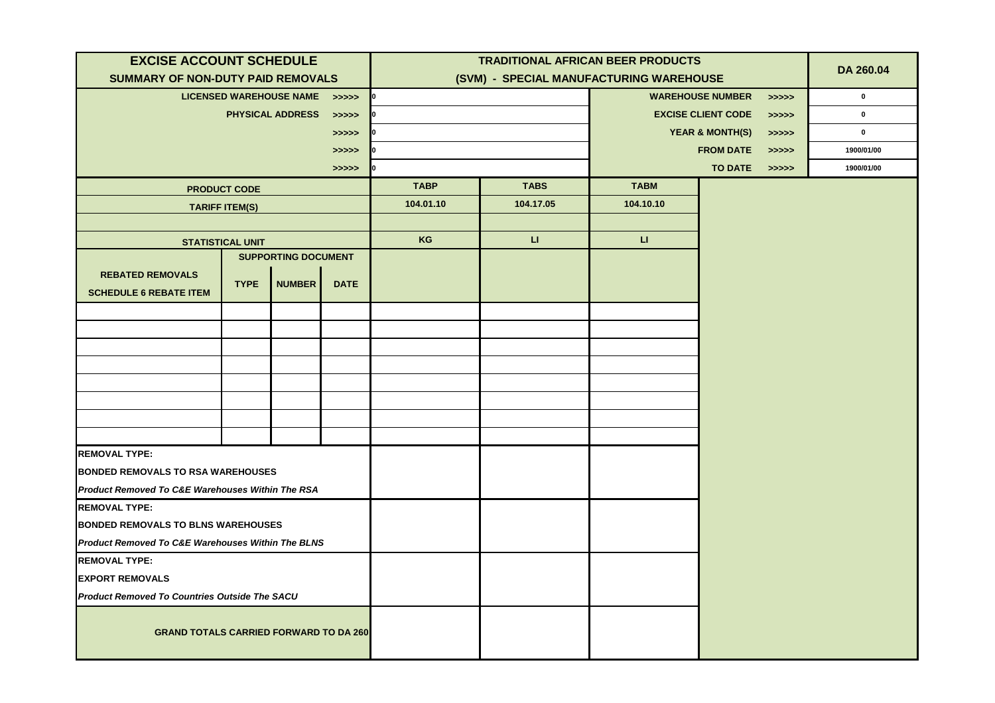| <b>EXCISE ACCOUNT SCHEDULE</b>                                                                            |                         |                                |             | <b>TRADITIONAL AFRICAN BEER PRODUCTS</b> |              |                                    |                            |           |             |
|-----------------------------------------------------------------------------------------------------------|-------------------------|--------------------------------|-------------|------------------------------------------|--------------|------------------------------------|----------------------------|-----------|-------------|
| <b>SUMMARY OF NON-DUTY PAID REMOVALS</b>                                                                  |                         |                                |             | (SVM) - SPECIAL MANUFACTURING WAREHOUSE  |              |                                    |                            | DA 260.04 |             |
|                                                                                                           |                         | <b>LICENSED WAREHOUSE NAME</b> | >>>>>       | 10                                       |              |                                    | <b>WAREHOUSE NUMBER</b>    | >>>>>     | $\mathbf 0$ |
|                                                                                                           |                         | <b>PHYSICAL ADDRESS</b>        | >>>>>       | -lo                                      |              | <b>EXCISE CLIENT CODE</b><br>>>>>> |                            |           | $\mathbf 0$ |
|                                                                                                           |                         |                                | >>>>>       | 10                                       |              |                                    | <b>YEAR &amp; MONTH(S)</b> | >>>>>     | $\mathbf 0$ |
|                                                                                                           |                         |                                | >>>>>       | 10                                       |              |                                    | <b>FROM DATE</b>           | >>>>>     | 1900/01/00  |
|                                                                                                           |                         |                                | >>>>>       | 10                                       |              |                                    | <b>TO DATE</b>             | >>>>>     | 1900/01/00  |
|                                                                                                           | <b>PRODUCT CODE</b>     |                                |             | <b>TABP</b>                              | <b>TABS</b>  | <b>TABM</b>                        |                            |           |             |
|                                                                                                           | <b>TARIFF ITEM(S)</b>   |                                |             | 104.01.10                                | 104.17.05    | 104.10.10                          |                            |           |             |
|                                                                                                           |                         |                                |             |                                          |              |                                    |                            |           |             |
|                                                                                                           | <b>STATISTICAL UNIT</b> |                                |             | KG                                       | $\mathbf{L}$ | $\mathsf{L}\mathsf{L}$             |                            |           |             |
|                                                                                                           |                         | <b>SUPPORTING DOCUMENT</b>     |             |                                          |              |                                    |                            |           |             |
| <b>REBATED REMOVALS</b>                                                                                   | <b>TYPE</b>             | <b>NUMBER</b>                  | <b>DATE</b> |                                          |              |                                    |                            |           |             |
| <b>SCHEDULE 6 REBATE ITEM</b>                                                                             |                         |                                |             |                                          |              |                                    |                            |           |             |
|                                                                                                           |                         |                                |             |                                          |              |                                    |                            |           |             |
|                                                                                                           |                         |                                |             |                                          |              |                                    |                            |           |             |
|                                                                                                           |                         |                                |             |                                          |              |                                    |                            |           |             |
|                                                                                                           |                         |                                |             |                                          |              |                                    |                            |           |             |
|                                                                                                           |                         |                                |             |                                          |              |                                    |                            |           |             |
|                                                                                                           |                         |                                |             |                                          |              |                                    |                            |           |             |
|                                                                                                           |                         |                                |             |                                          |              |                                    |                            |           |             |
|                                                                                                           |                         |                                |             |                                          |              |                                    |                            |           |             |
| <b>REMOVAL TYPE:</b>                                                                                      |                         |                                |             |                                          |              |                                    |                            |           |             |
| <b>BONDED REMOVALS TO RSA WAREHOUSES</b><br><b>Product Removed To C&amp;E Warehouses Within The RSA</b>   |                         |                                |             |                                          |              |                                    |                            |           |             |
| <b>REMOVAL TYPE:</b>                                                                                      |                         |                                |             |                                          |              |                                    |                            |           |             |
|                                                                                                           |                         |                                |             |                                          |              |                                    |                            |           |             |
| <b>BONDED REMOVALS TO BLNS WAREHOUSES</b><br><b>Product Removed To C&amp;E Warehouses Within The BLNS</b> |                         |                                |             |                                          |              |                                    |                            |           |             |
| <b>REMOVAL TYPE:</b>                                                                                      |                         |                                |             |                                          |              |                                    |                            |           |             |
| <b>EXPORT REMOVALS</b>                                                                                    |                         |                                |             |                                          |              |                                    |                            |           |             |
| <b>Product Removed To Countries Outside The SACU</b>                                                      |                         |                                |             |                                          |              |                                    |                            |           |             |
|                                                                                                           |                         |                                |             |                                          |              |                                    |                            |           |             |
| <b>GRAND TOTALS CARRIED FORWARD TO DA 260</b>                                                             |                         |                                |             |                                          |              |                                    |                            |           |             |